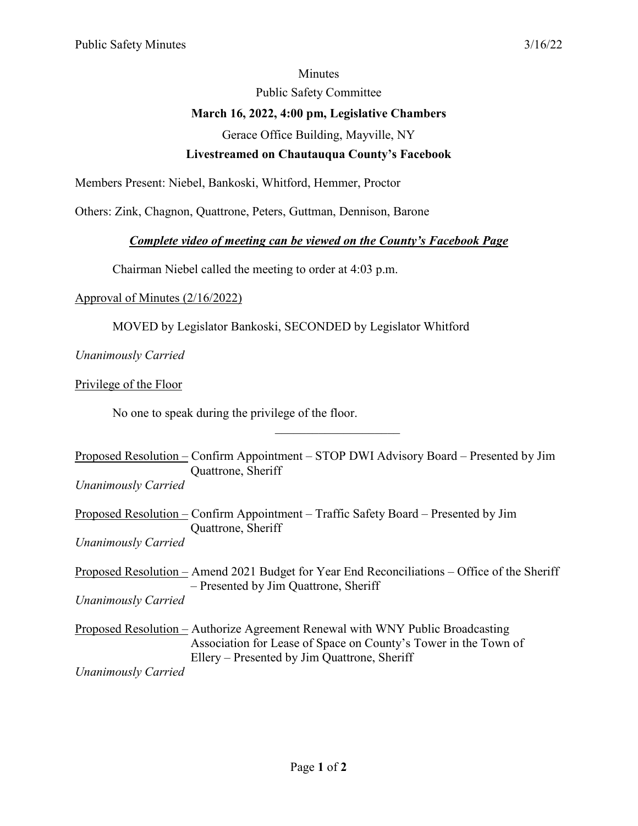#### Minutes

Public Safety Committee

## **March 16, 2022, 4:00 pm, Legislative Chambers**

Gerace Office Building, Mayville, NY

## **Livestreamed on Chautauqua County's Facebook**

Members Present: Niebel, Bankoski, Whitford, Hemmer, Proctor

Others: Zink, Chagnon, Quattrone, Peters, Guttman, Dennison, Barone

### *Complete video of meeting can be viewed on the County's Facebook Page*

Chairman Niebel called the meeting to order at 4:03 p.m.

### Approval of Minutes (2/16/2022)

MOVED by Legislator Bankoski, SECONDED by Legislator Whitford

# *Unanimously Carried*

Privilege of the Floor

No one to speak during the privilege of the floor.

Proposed Resolution – Confirm Appointment – STOP DWI Advisory Board – Presented by Jim Quattrone, Sheriff

*Unanimously Carried* 

Proposed Resolution – Confirm Appointment – Traffic Safety Board – Presented by Jim Quattrone, Sheriff *Unanimously Carried*

Proposed Resolution – Amend 2021 Budget for Year End Reconciliations – Office of the Sheriff – Presented by Jim Quattrone, Sheriff

*Unanimously Carried* 

Proposed Resolution – Authorize Agreement Renewal with WNY Public Broadcasting Association for Lease of Space on County's Tower in the Town of Ellery – Presented by Jim Quattrone, Sheriff

*Unanimously Carried*